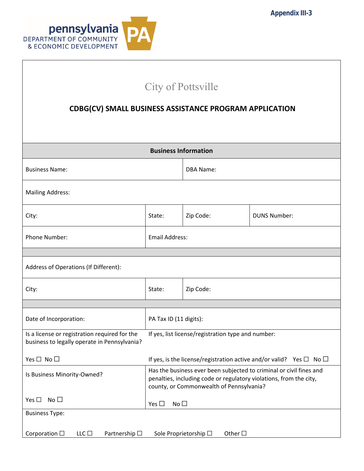

# City of Pottsville

## **CDBG(CV) SMALL BUSINESS ASSISTANCE PROGRAM APPLICATION**

| <b>Business Information</b>                                                                   |                                                                                                                                                                                       |                                       |                     |
|-----------------------------------------------------------------------------------------------|---------------------------------------------------------------------------------------------------------------------------------------------------------------------------------------|---------------------------------------|---------------------|
| <b>Business Name:</b>                                                                         |                                                                                                                                                                                       | <b>DBA Name:</b>                      |                     |
| <b>Mailing Address:</b>                                                                       |                                                                                                                                                                                       |                                       |                     |
| City:                                                                                         | State:                                                                                                                                                                                | Zip Code:                             | <b>DUNS Number:</b> |
| Phone Number:                                                                                 | <b>Email Address:</b>                                                                                                                                                                 |                                       |                     |
|                                                                                               |                                                                                                                                                                                       |                                       |                     |
| Address of Operations (If Different):                                                         |                                                                                                                                                                                       |                                       |                     |
| City:                                                                                         | State:                                                                                                                                                                                | Zip Code:                             |                     |
|                                                                                               |                                                                                                                                                                                       |                                       |                     |
| Date of Incorporation:                                                                        | PA Tax ID (11 digits):                                                                                                                                                                |                                       |                     |
| Is a license or registration required for the<br>business to legally operate in Pennsylvania? | If yes, list license/registration type and number:                                                                                                                                    |                                       |                     |
| Yes $\Box$ No $\Box$                                                                          | If yes, is the license/registration active and/or valid? Yes $\Box$ No $\Box$                                                                                                         |                                       |                     |
| Is Business Minority-Owned?                                                                   | Has the business ever been subjected to criminal or civil fines and<br>penalties, including code or regulatory violations, from the city,<br>county, or Commonwealth of Pennsylvania? |                                       |                     |
| No $\Box$<br>Yes $\Box$                                                                       | Yes $\square$<br>No <sub>1</sub>                                                                                                                                                      |                                       |                     |
| <b>Business Type:</b>                                                                         |                                                                                                                                                                                       |                                       |                     |
|                                                                                               |                                                                                                                                                                                       |                                       |                     |
| Corporation $\Box$<br>LLC $\Box$<br>Partnership □                                             |                                                                                                                                                                                       | Sole Proprietorship □<br>Other $\Box$ |                     |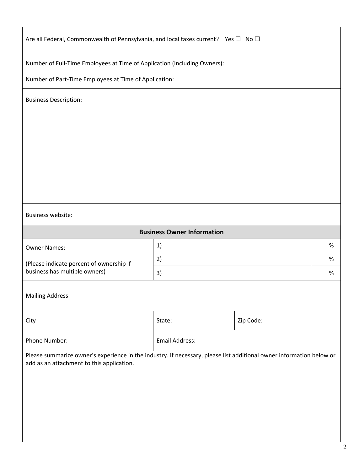| Are all Federal, Commonwealth of Pennsylvania, and local taxes current? $\;$ Yes $\Box\;$ No $\Box\;$ |  |  |
|-------------------------------------------------------------------------------------------------------|--|--|
|-------------------------------------------------------------------------------------------------------|--|--|

Number of Full‐Time Employees at Time of Application (Including Owners):

Number of Part‐Time Employees at Time of Application:

Business Description:

### Business website:

| <b>Business Owner Information</b>                                         |           |   |
|---------------------------------------------------------------------------|-----------|---|
| <b>Owner Names:</b>                                                       | $\ket{1}$ | % |
| (Please indicate percent of ownership if<br>business has multiple owners) | 2)        | % |
|                                                                           | 3)        | % |

#### Mailing Address:

| City          | State:         | Zip Code: |
|---------------|----------------|-----------|
| Phone Number: | Email Address: |           |

 Please summarize owner's experience in the industry. If necessary, please list additional owner information below or add as an attachment to this application.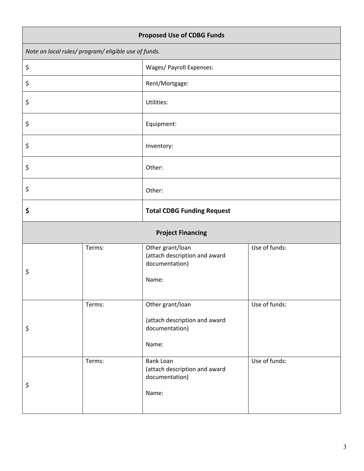| <b>Proposed Use of CDBG Funds</b> |                                                      |                                                                              |               |  |  |
|-----------------------------------|------------------------------------------------------|------------------------------------------------------------------------------|---------------|--|--|
|                                   | Note on local rules/ program/ eligible use of funds. |                                                                              |               |  |  |
| \$                                |                                                      | Wages/ Payroll Expenses:                                                     |               |  |  |
| \$                                |                                                      | Rent/Mortgage:                                                               |               |  |  |
| \$<br>Utilities:                  |                                                      |                                                                              |               |  |  |
| \$<br>Equipment:                  |                                                      |                                                                              |               |  |  |
| \$                                |                                                      | Inventory:                                                                   |               |  |  |
| \$                                |                                                      | Other:                                                                       |               |  |  |
| \$                                |                                                      | Other:                                                                       |               |  |  |
| \$                                |                                                      | <b>Total CDBG Funding Request</b>                                            |               |  |  |
|                                   |                                                      | <b>Project Financing</b>                                                     |               |  |  |
| \$                                | Terms:                                               | Other grant/loan<br>(attach description and award<br>documentation)<br>Name: | Use of funds: |  |  |
| \$                                | Terms:                                               | Other grant/loan<br>(attach description and award<br>documentation)<br>Name: | Use of funds: |  |  |
| \$                                | Terms:                                               | Bank Loan<br>(attach description and award<br>documentation)<br>Name:        | Use of funds: |  |  |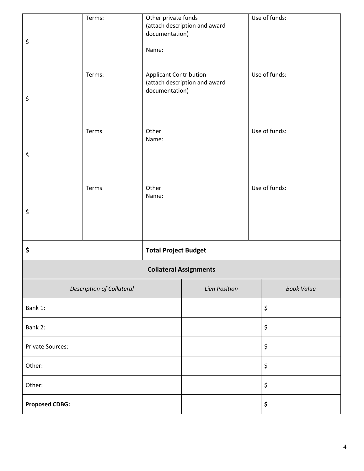| \$                               | Terms: | Other private funds<br>documentation)<br>Name:                            | (attach description and award | Use of funds: |  |
|----------------------------------|--------|---------------------------------------------------------------------------|-------------------------------|---------------|--|
| \$                               | Terms: | Applicant Contribution<br>(attach description and award<br>documentation) |                               | Use of funds: |  |
| \$                               | Terms  | Other<br>Name:                                                            |                               | Use of funds: |  |
| \$                               | Terms  | Other<br>Name:                                                            |                               | Use of funds: |  |
| \$                               |        | <b>Total Project Budget</b>                                               |                               |               |  |
| <b>Collateral Assignments</b>    |        |                                                                           |                               |               |  |
| <b>Description of Collateral</b> |        | <b>Lien Position</b>                                                      | <b>Book Value</b>             |               |  |
| Bank 1:                          |        |                                                                           | \$                            |               |  |
| Bank 2:                          |        |                                                                           | \$                            |               |  |
| Private Sources:                 |        |                                                                           | \$                            |               |  |
| Other:                           |        |                                                                           | \$                            |               |  |
| Other:                           |        |                                                                           |                               | \$            |  |
| <b>Proposed CDBG:</b>            |        |                                                                           |                               | \$            |  |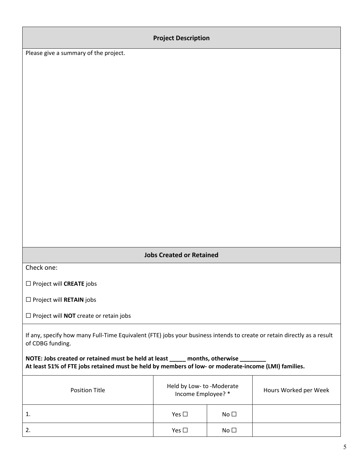# **Project Description**

Please give a summary of the project.

# **Jobs Created or Retained**

Check one:

☐ Project will **CREATE** jobs

☐ Project will **RETAIN** jobs

☐ Project will **NOT** create or retain jobs

 If any, specify how many Full‐Time Equivalent (FTE) jobs your business intends to create or retain directly as a result of CDBG funding.

## NOTE: Jobs created or retained must be held at least \_\_\_\_\_ months, otherwise \_\_\_\_\_\_\_\_ At least 51% of FTE jobs retained must be held by members of low- or moderate-income (LMI) families.

| <b>Position Title</b> | Held by Low- to -Moderate<br>Income Employee? * |              | Hours Worked per Week |
|-----------------------|-------------------------------------------------|--------------|-----------------------|
| 1.                    | Yes $\square$                                   | No $\square$ |                       |
| 2.                    | Yes $\square$                                   | No $\square$ |                       |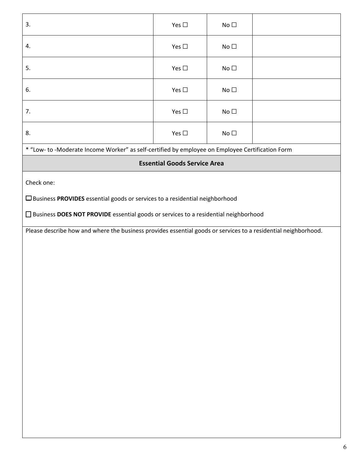| 3. | Yes $\Box$    | No $\Box$ |  |
|----|---------------|-----------|--|
| 4. | Yes $\square$ | No $\Box$ |  |
| 5. | Yes $\Box$    | No $\Box$ |  |
| 6. | Yes $\square$ | No $\Box$ |  |
| 7. | Yes $\square$ | No $\Box$ |  |
| 8. | Yes $\Box$    | No $\Box$ |  |

\* "Low‐ to ‐Moderate Income Worker" as self‐certified by employee on Employee Certification Form

# **Essential Goods Service Area**

Check one:

☐ Business **PROVIDES** essential goods or services to a residential neighborhood

□ Business DOES NOT PROVIDE essential goods or services to a residential neighborhood

Please describe how and where the business provides essential goods or services to a residential neighborhood.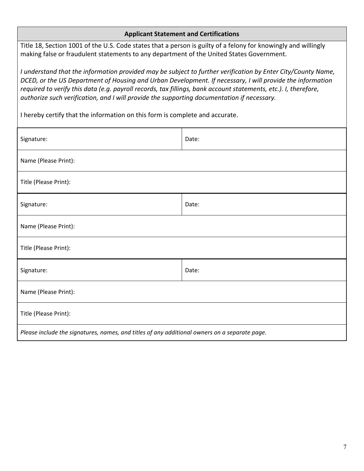| <b>Applicant Statement and Certifications</b>                                                                                                                                                                                                                                                                                                                                                                                                                                                                              |       |  |
|----------------------------------------------------------------------------------------------------------------------------------------------------------------------------------------------------------------------------------------------------------------------------------------------------------------------------------------------------------------------------------------------------------------------------------------------------------------------------------------------------------------------------|-------|--|
| Title 18, Section 1001 of the U.S. Code states that a person is guilty of a felony for knowingly and willingly<br>making false or fraudulent statements to any department of the United States Government.                                                                                                                                                                                                                                                                                                                 |       |  |
| I understand that the information provided may be subject to further verification by Enter City/County Name,<br>DCED, or the US Department of Housing and Urban Development. If necessary, I will provide the information<br>required to verify this data (e.g. payroll records, tax fillings, bank account statements, etc.). I, therefore,<br>authorize such verification, and I will provide the supporting documentation if necessary.<br>I hereby certify that the information on this form is complete and accurate. |       |  |
| Signature:                                                                                                                                                                                                                                                                                                                                                                                                                                                                                                                 | Date: |  |
| Name (Please Print):                                                                                                                                                                                                                                                                                                                                                                                                                                                                                                       |       |  |
| Title (Please Print):                                                                                                                                                                                                                                                                                                                                                                                                                                                                                                      |       |  |
| Signature:                                                                                                                                                                                                                                                                                                                                                                                                                                                                                                                 | Date: |  |
| Name (Please Print):                                                                                                                                                                                                                                                                                                                                                                                                                                                                                                       |       |  |
| Title (Please Print):                                                                                                                                                                                                                                                                                                                                                                                                                                                                                                      |       |  |
| Signature:                                                                                                                                                                                                                                                                                                                                                                                                                                                                                                                 | Date: |  |
| Name (Please Print):                                                                                                                                                                                                                                                                                                                                                                                                                                                                                                       |       |  |
| Title (Please Print):                                                                                                                                                                                                                                                                                                                                                                                                                                                                                                      |       |  |
| Please include the signatures, names, and titles of any additional owners on a separate page.                                                                                                                                                                                                                                                                                                                                                                                                                              |       |  |